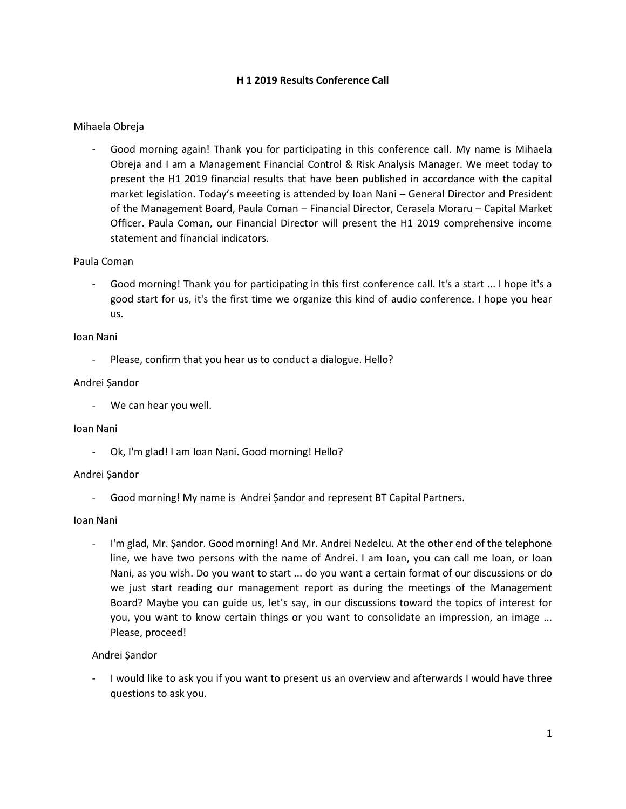# **H 1 2019 Results Conference Call**

# Mihaela Obreja

Good morning again! Thank you for participating in this conference call. My name is Mihaela Obreja and I am a Management Financial Control & Risk Analysis Manager. We meet today to present the H1 2019 financial results that have been published in accordance with the capital market legislation. Today's meeeting is attended by Ioan Nani – General Director and President of the Management Board, Paula Coman – Financial Director, Cerasela Moraru – Capital Market Officer. Paula Coman, our Financial Director will present the H1 2019 comprehensive income statement and financial indicators.

## Paula Coman

Good morning! Thank you for participating in this first conference call. It's a start ... I hope it's a good start for us, it's the first time we organize this kind of audio conference. I hope you hear us.

### Ioan Nani

Please, confirm that you hear us to conduct a dialogue. Hello?

## Andrei Șandor

- We can hear you well.

## Ioan Nani

Ok, I'm glad! I am Ioan Nani. Good morning! Hello?

## Andrei Șandor

- Good morning! My name is Andrei Șandor and represent BT Capital Partners.

## Ioan Nani

I'm glad, Mr. Șandor. Good morning! And Mr. Andrei Nedelcu. At the other end of the telephone line, we have two persons with the name of Andrei. I am Ioan, you can call me Ioan, or Ioan Nani, as you wish. Do you want to start ... do you want a certain format of our discussions or do we just start reading our management report as during the meetings of the Management Board? Maybe you can guide us, let's say, in our discussions toward the topics of interest for you, you want to know certain things or you want to consolidate an impression, an image ... Please, proceed!

## Andrei Șandor

I would like to ask you if you want to present us an overview and afterwards I would have three questions to ask you.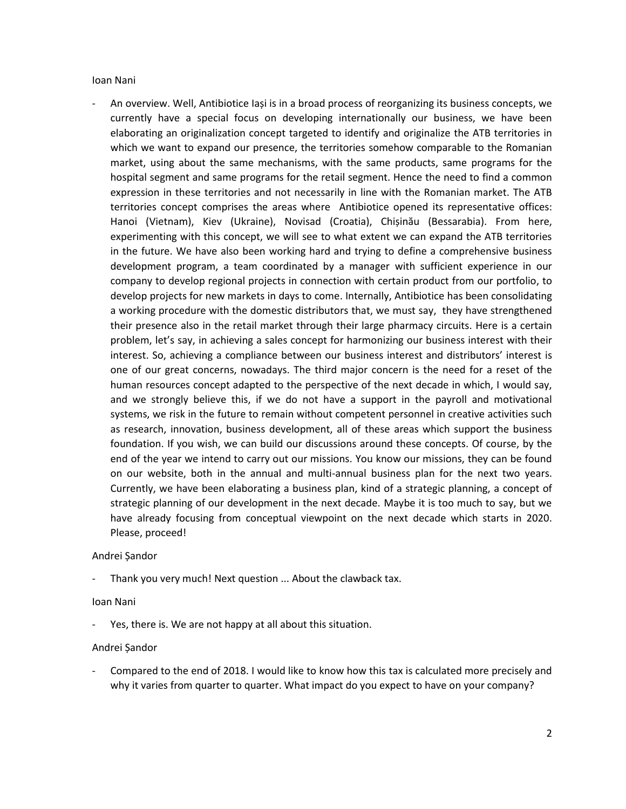### Ioan Nani

- An overview. Well, Antibiotice Iași is in a broad process of reorganizing its business concepts, we currently have a special focus on developing internationally our business, we have been elaborating an originalization concept targeted to identify and originalize the ATB territories in which we want to expand our presence, the territories somehow comparable to the Romanian market, using about the same mechanisms, with the same products, same programs for the hospital segment and same programs for the retail segment. Hence the need to find a common expression in these territories and not necessarily in line with the Romanian market. The ATB territories concept comprises the areas where Antibiotice opened its representative offices: Hanoi (Vietnam), Kiev (Ukraine), Novisad (Croatia), Chișinău (Bessarabia). From here, experimenting with this concept, we will see to what extent we can expand the ATB territories in the future. We have also been working hard and trying to define a comprehensive business development program, a team coordinated by a manager with sufficient experience in our company to develop regional projects in connection with certain product from our portfolio, to develop projects for new markets in days to come. Internally, Antibiotice has been consolidating a working procedure with the domestic distributors that, we must say, they have strengthened their presence also in the retail market through their large pharmacy circuits. Here is a certain problem, let's say, in achieving a sales concept for harmonizing our business interest with their interest. So, achieving a compliance between our business interest and distributors' interest is one of our great concerns, nowadays. The third major concern is the need for a reset of the human resources concept adapted to the perspective of the next decade in which, I would say, and we strongly believe this, if we do not have a support in the payroll and motivational systems, we risk in the future to remain without competent personnel in creative activities such as research, innovation, business development, all of these areas which support the business foundation. If you wish, we can build our discussions around these concepts. Of course, by the end of the year we intend to carry out our missions. You know our missions, they can be found on our website, both in the annual and multi-annual business plan for the next two years. Currently, we have been elaborating a business plan, kind of a strategic planning, a concept of strategic planning of our development in the next decade. Maybe it is too much to say, but we have already focusing from conceptual viewpoint on the next decade which starts in 2020. Please, proceed!

## Andrei Șandor

Thank you very much! Next question ... About the clawback tax.

## Ioan Nani

Yes, there is. We are not happy at all about this situation.

## Andrei Șandor

- Compared to the end of 2018. I would like to know how this tax is calculated more precisely and why it varies from quarter to quarter. What impact do you expect to have on your company?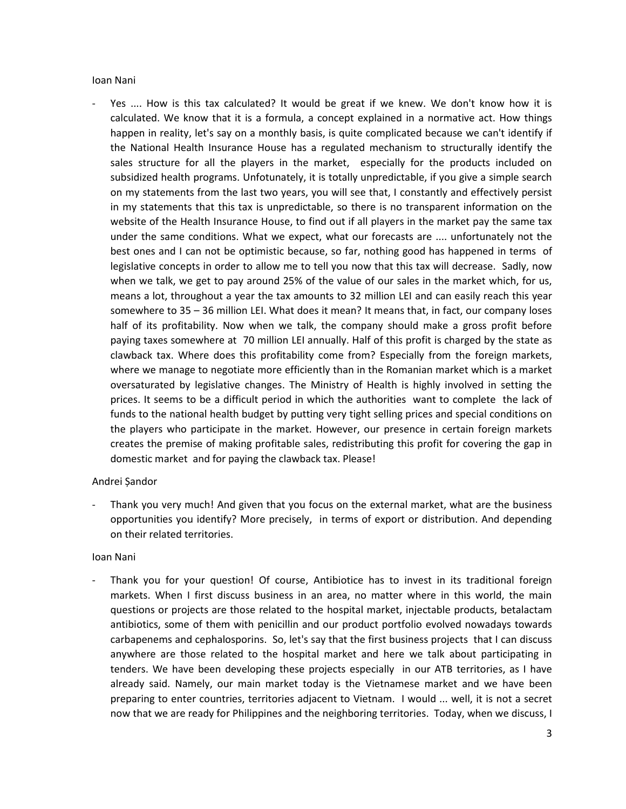## Ioan Nani

Yes .... How is this tax calculated? It would be great if we knew. We don't know how it is calculated. We know that it is a formula, a concept explained in a normative act. How things happen in reality, let's say on a monthly basis, is quite complicated because we can't identify if the National Health Insurance House has a regulated mechanism to structurally identify the sales structure for all the players in the market, especially for the products included on subsidized health programs. Unfotunately, it is totally unpredictable, if you give a simple search on my statements from the last two years, you will see that, I constantly and effectively persist in my statements that this tax is unpredictable, so there is no transparent information on the website of the Health Insurance House, to find out if all players in the market pay the same tax under the same conditions. What we expect, what our forecasts are .... unfortunately not the best ones and I can not be optimistic because, so far, nothing good has happened in terms of legislative concepts in order to allow me to tell you now that this tax will decrease. Sadly, now when we talk, we get to pay around 25% of the value of our sales in the market which, for us, means a lot, throughout a year the tax amounts to 32 million LEI and can easily reach this year somewhere to 35 – 36 million LEI. What does it mean? It means that, in fact, our company loses half of its profitability. Now when we talk, the company should make a gross profit before paying taxes somewhere at 70 million LEI annually. Half of this profit is charged by the state as clawback tax. Where does this profitability come from? Especially from the foreign markets, where we manage to negotiate more efficiently than in the Romanian market which is a market oversaturated by legislative changes. The Ministry of Health is highly involved in setting the prices. It seems to be a difficult period in which the authorities want to complete the lack of funds to the national health budget by putting very tight selling prices and special conditions on the players who participate in the market. However, our presence in certain foreign markets creates the premise of making profitable sales, redistributing this profit for covering the gap in domestic market and for paying the clawback tax. Please!

## Andrei Șandor

Thank you very much! And given that you focus on the external market, what are the business opportunities you identify? More precisely, in terms of export or distribution. And depending on their related territories.

## Ioan Nani

Thank you for your question! Of course, Antibiotice has to invest in its traditional foreign markets. When I first discuss business in an area, no matter where in this world, the main questions or projects are those related to the hospital market, injectable products, betalactam antibiotics, some of them with penicillin and our product portfolio evolved nowadays towards carbapenems and cephalosporins. So, let's say that the first business projects that I can discuss anywhere are those related to the hospital market and here we talk about participating in tenders. We have been developing these projects especially in our ATB territories, as I have already said. Namely, our main market today is the Vietnamese market and we have been preparing to enter countries, territories adjacent to Vietnam. I would ... well, it is not a secret now that we are ready for Philippines and the neighboring territories. Today, when we discuss, I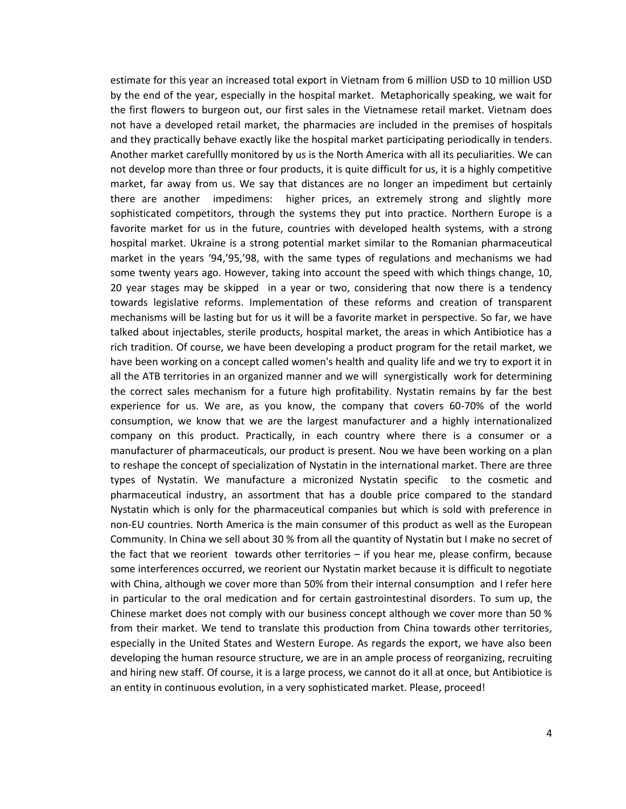estimate for this year an increased total export in Vietnam from 6 million USD to 10 million USD by the end of the year, especially in the hospital market. Metaphorically speaking, we wait for the first flowers to burgeon out, our first sales in the Vietnamese retail market. Vietnam does not have a developed retail market, the pharmacies are included in the premises of hospitals and they practically behave exactly like the hospital market participating periodically in tenders. Another market carefullly monitored by us is the North America with all its peculiarities. We can not develop more than three or four products, it is quite difficult for us, it is a highly competitive market, far away from us. We say that distances are no longer an impediment but certainly there are another impedimens: higher prices, an extremely strong and slightly more sophisticated competitors, through the systems they put into practice. Northern Europe is a favorite market for us in the future, countries with developed health systems, with a strong hospital market. Ukraine is a strong potential market similar to the Romanian pharmaceutical market in the years '94,'95,'98, with the same types of regulations and mechanisms we had some twenty years ago. However, taking into account the speed with which things change, 10, 20 year stages may be skipped in a year or two, considering that now there is a tendency towards legislative reforms. Implementation of these reforms and creation of transparent mechanisms will be lasting but for us it will be a favorite market in perspective. So far, we have talked about injectables, sterile products, hospital market, the areas in which Antibiotice has a rich tradition. Of course, we have been developing a product program for the retail market, we have been working on a concept called women's health and quality life and we try to export it in all the ATB territories in an organized manner and we will synergistically work for determining the correct sales mechanism for a future high profitability. Nystatin remains by far the best experience for us. We are, as you know, the company that covers 60-70% of the world consumption, we know that we are the largest manufacturer and a highly internationalized company on this product. Practically, in each country where there is a consumer or a manufacturer of pharmaceuticals, our product is present. Nou we have been working on a plan to reshape the concept of specialization of Nystatin in the international market. There are three types of Nystatin. We manufacture a micronized Nystatin specific to the cosmetic and pharmaceutical industry, an assortment that has a double price compared to the standard Nystatin which is only for the pharmaceutical companies but which is sold with preference in non-EU countries. North America is the main consumer of this product as well as the European Community. In China we sell about 30 % from all the quantity of Nystatin but I make no secret of the fact that we reorient towards other territories – if you hear me, please confirm, because some interferences occurred, we reorient our Nystatin market because it is difficult to negotiate with China, although we cover more than 50% from their internal consumption and I refer here in particular to the oral medication and for certain gastrointestinal disorders. To sum up, the Chinese market does not comply with our business concept although we cover more than 50 % from their market. We tend to translate this production from China towards other territories, especially in the United States and Western Europe. As regards the export, we have also been developing the human resource structure, we are in an ample process of reorganizing, recruiting and hiring new staff. Of course, it is a large process, we cannot do it all at once, but Antibiotice is an entity in continuous evolution, in a very sophisticated market. Please, proceed!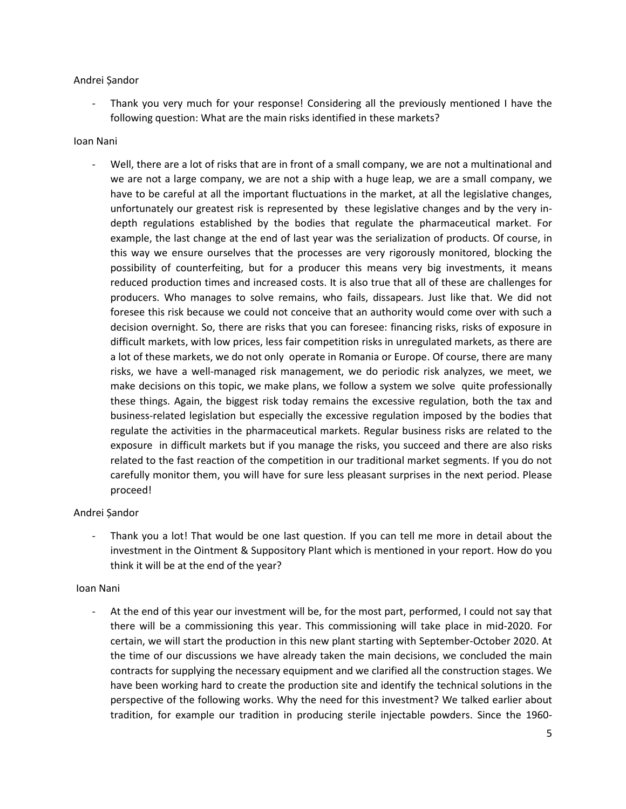## Andrei Șandor

Thank you very much for your response! Considering all the previously mentioned I have the following question: What are the main risks identified in these markets?

## Ioan Nani

- Well, there are a lot of risks that are in front of a small company, we are not a multinational and we are not a large company, we are not a ship with a huge leap, we are a small company, we have to be careful at all the important fluctuations in the market, at all the legislative changes, unfortunately our greatest risk is represented by these legislative changes and by the very indepth regulations established by the bodies that regulate the pharmaceutical market. For example, the last change at the end of last year was the serialization of products. Of course, in this way we ensure ourselves that the processes are very rigorously monitored, blocking the possibility of counterfeiting, but for a producer this means very big investments, it means reduced production times and increased costs. It is also true that all of these are challenges for producers. Who manages to solve remains, who fails, dissapears. Just like that. We did not foresee this risk because we could not conceive that an authority would come over with such a decision overnight. So, there are risks that you can foresee: financing risks, risks of exposure in difficult markets, with low prices, less fair competition risks in unregulated markets, as there are a lot of these markets, we do not only operate in Romania or Europe. Of course, there are many risks, we have a well-managed risk management, we do periodic risk analyzes, we meet, we make decisions on this topic, we make plans, we follow a system we solve quite professionally these things. Again, the biggest risk today remains the excessive regulation, both the tax and business-related legislation but especially the excessive regulation imposed by the bodies that regulate the activities in the pharmaceutical markets. Regular business risks are related to the exposure in difficult markets but if you manage the risks, you succeed and there are also risks related to the fast reaction of the competition in our traditional market segments. If you do not carefully monitor them, you will have for sure less pleasant surprises in the next period. Please proceed!

# Andrei Șandor

- Thank you a lot! That would be one last question. If you can tell me more in detail about the investment in the Ointment & Suppository Plant which is mentioned in your report. How do you think it will be at the end of the year?

# Ioan Nani

At the end of this year our investment will be, for the most part, performed, I could not say that there will be a commissioning this year. This commissioning will take place in mid-2020. For certain, we will start the production in this new plant starting with September-October 2020. At the time of our discussions we have already taken the main decisions, we concluded the main contracts for supplying the necessary equipment and we clarified all the construction stages. We have been working hard to create the production site and identify the technical solutions in the perspective of the following works. Why the need for this investment? We talked earlier about tradition, for example our tradition in producing sterile injectable powders. Since the 1960